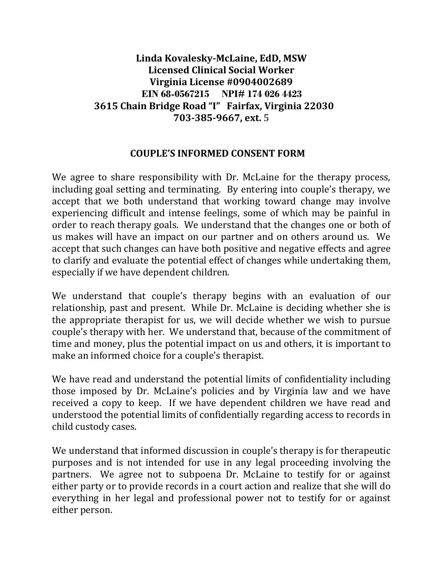## **Linda Kovalesky-McLaine, EdD, MSW Licensed Clinical Social Worker Virginia License #0904002689 EIN 68-0567215 NPI# 174 026 4423 3615 Chain Bridge Road "I" Fairfax, Virginia 22030 703-385-9667, ext.** 5

## **COUPLE'S INFORMED CONSENT FORM**

We agree to share responsibility with Dr. McLaine for the therapy process, including goal setting and terminating. By entering into couple's therapy, we accept that we both understand that working toward change may involve experiencing difficult and intense feelings, some of which may be painful in order to reach therapy goals. We understand that the changes one or both of us makes will have an impact on our partner and on others around us. We accept that such changes can have both positive and negative effects and agree to clarify and evaluate the potential effect of changes while undertaking them, especially if we have dependent children.

We understand that couple's therapy begins with an evaluation of our relationship, past and present. While Dr. McLaine is deciding whether she is the appropriate therapist for us, we will decide whether we wish to pursue couple's therapy with her. We understand that, because of the commitment of time and money, plus the potential impact on us and others, it is important to make an informed choice for a couple's therapist.

We have read and understand the potential limits of confidentiality including those imposed by Dr. McLaine's policies and by Virginia law and we have received a copy to keep. If we have dependent children we have read and understood the potential limits of confidentially regarding access to records in child custody cases.

We understand that informed discussion in couple's therapy is for therapeutic purposes and is not intended for use in any legal proceeding involving the partners. We agree not to subpoena Dr. McLaine to testify for or against either party or to provide records in a court action and realize that she will do everything in her legal and professional power not to testify for or against either person.